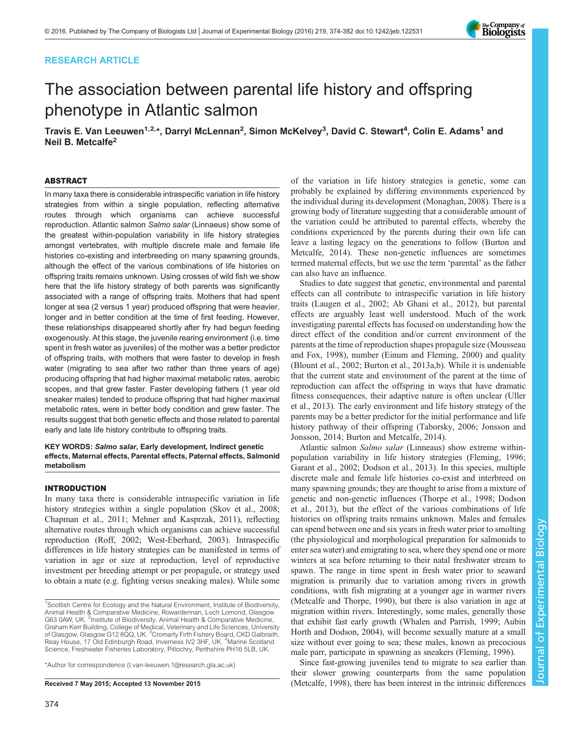## RESEARCH ARTICLE

# The association between parental life history and offspring phenotype in Atlantic salmon

Travis E. Van Leeuwen<sup>1,2,\*</sup>, Darryl McLennan<sup>2</sup>, Simon McKelvey<sup>3</sup>, David C. Stewart<sup>4</sup>, Colin E. Adams<sup>1</sup> and Neil B. Metcalfe<sup>2</sup>

### ABSTRACT

In many taxa there is considerable intraspecific variation in life history strategies from within a single population, reflecting alternative routes through which organisms can achieve successful reproduction. Atlantic salmon Salmo salar (Linnaeus) show some of the greatest within-population variability in life history strategies amongst vertebrates, with multiple discrete male and female life histories co-existing and interbreeding on many spawning grounds, although the effect of the various combinations of life histories on offspring traits remains unknown. Using crosses of wild fish we show here that the life history strategy of both parents was significantly associated with a range of offspring traits. Mothers that had spent longer at sea (2 versus 1 year) produced offspring that were heavier, longer and in better condition at the time of first feeding. However, these relationships disappeared shortly after fry had begun feeding exogenously. At this stage, the juvenile rearing environment (i.e. time spent in fresh water as juveniles) of the mother was a better predictor of offspring traits, with mothers that were faster to develop in fresh water (migrating to sea after two rather than three years of age) producing offspring that had higher maximal metabolic rates, aerobic scopes, and that grew faster. Faster developing fathers (1 year old sneaker males) tended to produce offspring that had higher maximal metabolic rates, were in better body condition and grew faster. The results suggest that both genetic effects and those related to parental early and late life history contribute to offspring traits.

## KEY WORDS: Salmo salar, Early development, Indirect genetic effects, Maternal effects, Parental effects, Paternal effects, Salmonid metabolism

#### INTRODUCTION

In many taxa there is considerable intraspecific variation in life history strategies within a single population [\(Skov et al., 2008](#page-8-0); [Chapman et al., 2011; Mehner and Kasprzak, 2011](#page-7-0)), reflecting alternative routes through which organisms can achieve successful reproduction ([Roff, 2002](#page-7-0); [West-Eberhard, 2003\)](#page-8-0). Intraspecific differences in life history strategies can be manifested in terms of variation in age or size at reproduction, level of reproductive investment per breeding attempt or per propagule, or strategy used to obtain a mate (e.g. fighting versus sneaking males). While some

\*Author for correspondence [\(t.van-leeuwen.1@research.gla.ac.uk](mailto:t.van-leeuwen.1@research.gla.ac.uk))

of the variation in life history strategies is genetic, some can probably be explained by differing environments experienced by the individual during its development ([Monaghan, 2008\)](#page-7-0). There is a growing body of literature suggesting that a considerable amount of the variation could be attributed to parental effects, whereby the conditions experienced by the parents during their own life can leave a lasting legacy on the generations to follow ([Burton and](#page-7-0) [Metcalfe, 2014](#page-7-0)). These non-genetic influences are sometimes termed maternal effects, but we use the term 'parental' as the father can also have an influence.

Studies to date suggest that genetic, environmental and parental effects can all contribute to intraspecific variation in life history traits [\(Laugen et al., 2002; Ab Ghani et al., 2012\)](#page-7-0), but parental effects are arguably least well understood. Much of the work investigating parental effects has focused on understanding how the direct effect of the condition and/or current environment of the parents at the time of reproduction shapes propagule size ([Mousseau](#page-7-0) [and Fox, 1998](#page-7-0)), number [\(Einum and Fleming, 2000](#page-7-0)) and quality [\(Blount et al., 2002; Burton et al., 2013a,b\)](#page-7-0). While it is undeniable that the current state and environment of the parent at the time of reproduction can affect the offspring in ways that have dramatic fitness consequences, their adaptive nature is often unclear ([Uller](#page-8-0) [et al., 2013](#page-8-0)). The early environment and life history strategy of the parents may be a better predictor for the initial performance and life history pathway of their offspring ([Taborsky, 2006](#page-8-0); [Jonsson and](#page-7-0) [Jonsson, 2014](#page-7-0); [Burton and Metcalfe, 2014\)](#page-7-0).

Atlantic salmon Salmo salar (Linneaus) show extreme withinpopulation variability in life history strategies ([Fleming, 1996](#page-7-0); [Garant et al., 2002](#page-7-0); [Dodson et al., 2013\)](#page-7-0). In this species, multiple discrete male and female life histories co-exist and interbreed on many spawning grounds; they are thought to arise from a mixture of genetic and non-genetic influences [\(Thorpe et al., 1998](#page-8-0); [Dodson](#page-7-0) [et al., 2013\)](#page-7-0), but the effect of the various combinations of life histories on offspring traits remains unknown. Males and females can spend between one and six years in fresh water prior to smolting (the physiological and morphological preparation for salmonids to enter sea water) and emigrating to sea, where they spend one or more winters at sea before returning to their natal freshwater stream to spawn. The range in time spent in fresh water prior to seaward migration is primarily due to variation among rivers in growth conditions, with fish migrating at a younger age in warmer rivers [\(Metcalfe and Thorpe, 1990](#page-7-0)), but there is also variation in age at migration within rivers. Interestingly, some males, generally those that exhibit fast early growth ([Whalen and Parrish, 1999;](#page-8-0) [Aubin](#page-7-0) [Horth and Dodson, 2004](#page-7-0)), will become sexually mature at a small size without ever going to sea; these males, known as precocious male parr, participate in spawning as sneakers [\(Fleming, 1996\)](#page-7-0).

Since fast-growing juveniles tend to migrate to sea earlier than their slower growing counterparts from the same population Received 7 May 2015; Accepted 13 November 2015 [\(Metcalfe, 1998\)](#page-7-0), there has been interest in the intrinsic differences



<sup>&</sup>lt;sup>1</sup>Scottish Centre for Ecology and the Natural Environment, Institute of Biodiversity, Animal Health & Comparative Medicine, Rowardennan, Loch Lomond, Glasgow G63 0AW, UK. <sup>2</sup>Institute of Biodiversity, Animal Health & Comparative Medicine, Graham Kerr Building, College of Medical, Veterinary and Life Sciences, University of Glasgow, Glasgow G12 8QQ, UK. <sup>3</sup>Cromarty Firth Fishery Board, CKD Galbraith, Reay House, 17 Old Edinburgh Road, Inverness IV2 3HF, UK. <sup>4</sup>Marine Scotland Science, Freshwater Fisheries Laboratory, Pitlochry, Perthshire PH16 5LB, UK.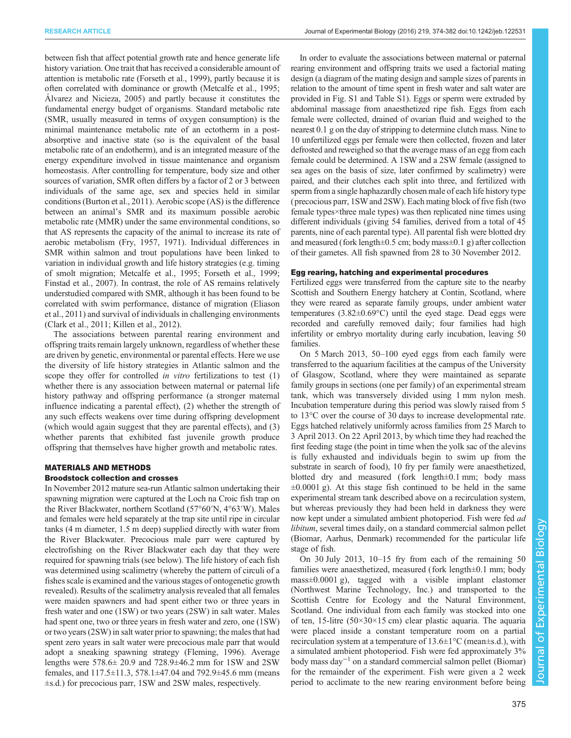between fish that affect potential growth rate and hence generate life history variation. One trait that has received a considerable amount of attention is metabolic rate ([Forseth et al., 1999](#page-7-0)), partly because it is often correlated with dominance or growth ([Metcalfe et al., 1995](#page-7-0); [Álvarez and Nicieza, 2005](#page-7-0)) and partly because it constitutes the fundamental energy budget of organisms. Standard metabolic rate (SMR, usually measured in terms of oxygen consumption) is the minimal maintenance metabolic rate of an ectotherm in a postabsorptive and inactive state (so is the equivalent of the basal metabolic rate of an endotherm), and is an integrated measure of the energy expenditure involved in tissue maintenance and organism homeostasis. After controlling for temperature, body size and other sources of variation, SMR often differs by a factor of 2 or 3 between individuals of the same age, sex and species held in similar conditions ([Burton et al., 2011\)](#page-7-0). Aerobic scope (AS) is the difference between an animal's SMR and its maximum possible aerobic metabolic rate (MMR) under the same environmental conditions, so that AS represents the capacity of the animal to increase its rate of aerobic metabolism ([Fry, 1957](#page-7-0), [1971\)](#page-7-0). Individual differences in SMR within salmon and trout populations have been linked to variation in individual growth and life history strategies (e.g. timing of smolt migration; [Metcalfe et al., 1995](#page-7-0); [Forseth et al., 1999](#page-7-0); [Finstad et al](#page-7-0)., 2007). In contrast, the role of AS remains relatively understudied compared with SMR, although it has been found to be correlated with swim performance, distance of migration [\(Eliason](#page-7-0) [et al., 2011\)](#page-7-0) and survival of individuals in challenging environments [\(Clark et al., 2011](#page-7-0); [Killen et al., 2012](#page-7-0)).

The associations between parental rearing environment and offspring traits remain largely unknown, regardless of whether these are driven by genetic, environmental or parental effects. Here we use the diversity of life history strategies in Atlantic salmon and the scope they offer for controlled *in vitro* fertilizations to test (1) whether there is any association between maternal or paternal life history pathway and offspring performance (a stronger maternal influence indicating a parental effect), (2) whether the strength of any such effects weakens over time during offspring development (which would again suggest that they are parental effects), and (3) whether parents that exhibited fast juvenile growth produce offspring that themselves have higher growth and metabolic rates.

# MATERIALS AND METHODS

# Broodstock collection and crosses

In November 2012 mature sea-run Atlantic salmon undertaking their spawning migration were captured at the Loch na Croic fish trap on the River Blackwater, northern Scotland (57°60′N, 4°63′W). Males and females were held separately at the trap site until ripe in circular tanks (4 m diameter, 1.5 m deep) supplied directly with water from the River Blackwater. Precocious male parr were captured by electrofishing on the River Blackwater each day that they were required for spawning trials (see below). The life history of each fish was determined using scalimetry (whereby the pattern of circuli of a fishes scale is examined and the various stages of ontogenetic growth revealed). Results of the scalimetry analysis revealed that all females were maiden spawners and had spent either two or three years in fresh water and one (1SW) or two years (2SW) in salt water. Males had spent one, two or three years in fresh water and zero, one (1SW) or two years (2SW) in salt water prior to spawning; the males that had spent zero years in salt water were precocious male parr that would adopt a sneaking spawning strategy ([Fleming, 1996\)](#page-7-0). Average lengths were 578.6± 20.9 and 728.9±46.2 mm for 1SW and 2SW females, and 117.5±11.3, 578.1±47.04 and 792.9±45.6 mm (means ±s.d.) for precocious parr, 1SW and 2SW males, respectively.

In order to evaluate the associations between maternal or paternal rearing environment and offspring traits we used a factorial mating design (a diagram of the mating design and sample sizes of parents in relation to the amount of time spent in fresh water and salt water are provided in [Fig. S1](http://jeb.biologists.org/lookup/suppl/doi:10.1242/jeb.122531/-/DC1) and [Table S1\)](http://jeb.biologists.org/lookup/suppl/doi:10.1242/jeb.122531/-/DC1). Eggs or sperm were extruded by abdominal massage from anaesthetized ripe fish. Eggs from each female were collected, drained of ovarian fluid and weighed to the nearest 0.1 g on the day of stripping to determine clutch mass. Nine to 10 unfertilized eggs per female were then collected, frozen and later defrosted and reweighed so that the average mass of an egg from each female could be determined. A 1SW and a 2SW female (assigned to sea ages on the basis of size, later confirmed by scalimetry) were paired, and their clutches each split into three, and fertilized with sperm from a single haphazardly chosen male of each life history type (precocious parr, 1SW and 2SW). Each mating block of five fish (two female types×three male types) was then replicated nine times using different individuals (giving 54 families, derived from a total of 45 parents, nine of each parental type). All parental fish were blotted dry and measured (fork length $\pm 0.5$  cm; body mass $\pm 0.1$  g) after collection of their gametes. All fish spawned from 28 to 30 November 2012.

#### Egg rearing, hatching and experimental procedures

Fertilized eggs were transferred from the capture site to the nearby Scottish and Southern Energy hatchery at Contin, Scotland, where they were reared as separate family groups, under ambient water temperatures (3.82±0.69°C) until the eyed stage. Dead eggs were recorded and carefully removed daily; four families had high infertility or embryo mortality during early incubation, leaving 50 families.

On 5 March 2013, 50–100 eyed eggs from each family were transferred to the aquarium facilities at the campus of the University of Glasgow, Scotland, where they were maintained as separate family groups in sections (one per family) of an experimental stream tank, which was transversely divided using 1 mm nylon mesh. Incubation temperature during this period was slowly raised from 5 to 13°C over the course of 30 days to increase developmental rate. Eggs hatched relatively uniformly across families from 25 March to 3 April 2013. On 22 April 2013, by which time they had reached the first feeding stage (the point in time when the yolk sac of the alevins is fully exhausted and individuals begin to swim up from the substrate in search of food), 10 fry per family were anaesthetized, blotted dry and measured (fork length±0.1 mm; body mass  $\pm 0.0001$  g). At this stage fish continued to be held in the same experimental stream tank described above on a recirculation system, but whereas previously they had been held in darkness they were now kept under a simulated ambient photoperiod. Fish were fed ad libitum, several times daily, on a standard commercial salmon pellet (Biomar, Aarhus, Denmark) recommended for the particular life stage of fish.

On 30 July 2013, 10–15 fry from each of the remaining 50 families were anaesthetized, measured (fork length±0.1 mm; body mass±0.0001 g), tagged with a visible implant elastomer (Northwest Marine Technology, Inc.) and transported to the Scottish Centre for Ecology and the Natural Environment, Scotland. One individual from each family was stocked into one of ten, 15-litre ( $50 \times 30 \times 15$  cm) clear plastic aquaria. The aquaria were placed inside a constant temperature room on a partial recirculation system at a temperature of  $13.6 \pm 1^{\circ}$ C (mean $\pm$ s.d.), with a simulated ambient photoperiod. Fish were fed approximately 3% body mass day−<sup>1</sup> on a standard commercial salmon pellet (Biomar) for the remainder of the experiment. Fish were given a 2 week period to acclimate to the new rearing environment before being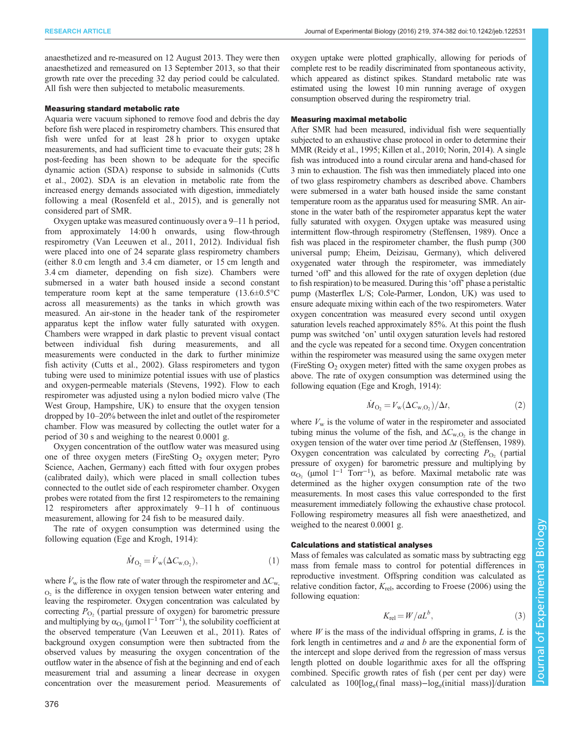anaesthetized and re-measured on 12 August 2013. They were then anaesthetized and remeasured on 13 September 2013, so that their growth rate over the preceding 32 day period could be calculated. All fish were then subjected to metabolic measurements.

## Measuring standard metabolic rate

Aquaria were vacuum siphoned to remove food and debris the day before fish were placed in respirometry chambers. This ensured that fish were unfed for at least 28 h prior to oxygen uptake measurements, and had sufficient time to evacuate their guts; 28 h post-feeding has been shown to be adequate for the specific dynamic action (SDA) response to subside in salmonids [\(Cutts](#page-7-0) [et al., 2002\)](#page-7-0). SDA is an elevation in metabolic rate from the increased energy demands associated with digestion, immediately following a meal ([Rosenfeld et al., 2015\)](#page-7-0), and is generally not considered part of SMR.

Oxygen uptake was measured continuously over a 9–11 h period, from approximately 14:00 h onwards, using flow-through respirometry ([Van Leeuwen et al., 2011](#page-8-0), [2012](#page-8-0)). Individual fish were placed into one of 24 separate glass respirometry chambers (either 8.0 cm length and 3.4 cm diameter, or 15 cm length and 3.4 cm diameter, depending on fish size). Chambers were submersed in a water bath housed inside a second constant temperature room kept at the same temperature  $(13.6\pm0.5\degree\text{C})$ across all measurements) as the tanks in which growth was measured. An air-stone in the header tank of the respirometer apparatus kept the inflow water fully saturated with oxygen. Chambers were wrapped in dark plastic to prevent visual contact between individual fish during measurements, and all measurements were conducted in the dark to further minimize fish activity [\(Cutts et al., 2002](#page-7-0)). Glass respirometers and tygon tubing were used to minimize potential issues with use of plastics and oxygen-permeable materials [\(Stevens, 1992](#page-8-0)). Flow to each respirometer was adjusted using a nylon bodied micro valve (The West Group, Hampshire, UK) to ensure that the oxygen tension dropped by 10–20% between the inlet and outlet of the respirometer chamber. Flow was measured by collecting the outlet water for a period of 30 s and weighing to the nearest 0.0001 g.

Oxygen concentration of the outflow water was measured using one of three oxygen meters (FireSting  $O_2$  oxygen meter; Pyro Science, Aachen, Germany) each fitted with four oxygen probes (calibrated daily), which were placed in small collection tubes connected to the outlet side of each respirometer chamber. Oxygen probes were rotated from the first 12 respirometers to the remaining 12 respirometers after approximately 9–11 h of continuous measurement, allowing for 24 fish to be measured daily.

The rate of oxygen consumption was determined using the following equation [\(Ege and Krogh, 1914\)](#page-7-0):

$$
\dot{M}_{\text{O}_2} = \dot{V}_{\text{w}}(\Delta C_{\text{w,O}_2}),\tag{1}
$$

where  $\dot{V}_{\text{w}}$  is the flow rate of water through the respirometer and  $\Delta C_{\text{w}}$ ,  $_{\text{O}_2}$  is the difference in oxygen tension between water entering and leaving the respirometer. Oxygen concentration was calculated by correcting  $P_{\text{O}_2}$  (partial pressure of oxygen) for barometric pressure and multiplying by  $\alpha_{O_2}$  (µmol l<sup>-1</sup> Torr<sup>-1</sup>), the solubility coefficient at the observed temperature ([Van Leeuwen et al., 2011](#page-8-0)). Rates of background oxygen consumption were then subtracted from the observed values by measuring the oxygen concentration of the outflow water in the absence of fish at the beginning and end of each measurement trial and assuming a linear decrease in oxygen concentration over the measurement period. Measurements of oxygen uptake were plotted graphically, allowing for periods of complete rest to be readily discriminated from spontaneous activity, which appeared as distinct spikes. Standard metabolic rate was estimated using the lowest 10 min running average of oxygen consumption observed during the respirometry trial.

#### Measuring maximal metabolic

After SMR had been measured, individual fish were sequentially subjected to an exhaustive chase protocol in order to determine their MMR [\(Reidy et al., 1995](#page-7-0); [Killen et al., 2010; Norin, 2014](#page-7-0)). A single fish was introduced into a round circular arena and hand-chased for 3 min to exhaustion. The fish was then immediately placed into one of two glass respirometry chambers as described above. Chambers were submersed in a water bath housed inside the same constant temperature room as the apparatus used for measuring SMR. An airstone in the water bath of the respirometer apparatus kept the water fully saturated with oxygen. Oxygen uptake was measured using intermittent flow-through respirometry ([Steffensen, 1989](#page-8-0)). Once a fish was placed in the respirometer chamber, the flush pump (300 universal pump; Eheim, Deizisau, Germany), which delivered oxygenated water through the respirometer, was immediately turned 'off' and this allowed for the rate of oxygen depletion (due to fish respiration) to be measured. During this'off' phase a peristaltic pump (Masterflex L/S; Cole-Parmer, London, UK) was used to ensure adequate mixing within each of the two respirometers. Water oxygen concentration was measured every second until oxygen saturation levels reached approximately 85%. At this point the flush pump was switched 'on' until oxygen saturation levels had restored and the cycle was repeated for a second time. Oxygen concentration within the respirometer was measured using the same oxygen meter (FireSting  $O<sub>2</sub>$  oxygen meter) fitted with the same oxygen probes as above. The rate of oxygen consumption was determined using the following equation [\(Ege and Krogh, 1914\)](#page-7-0):

$$
\dot{M}_{\text{O}_2} = V_{\text{w}}(\Delta C_{\text{w,O}_2})/\Delta t,\tag{2}
$$

where  $V_w$  is the volume of water in the respirometer and associated tubing minus the volume of the fish, and  $\Delta C_{\text{w.O}}$  is the change in oxygen tension of the water over time period  $\Delta t$  [\(Steffensen, 1989\)](#page-8-0). Oxygen concentration was calculated by correcting  $P_{\text{O}_2}$  (partial pressure of oxygen) for barometric pressure and multiplying by  $\alpha_{\text{O}_2}$  (µmol  $1^{-1}$  Torr<sup>-1</sup>), as before. Maximal metabolic rate was determined as the higher oxygen consumption rate of the two measurements. In most cases this value corresponded to the first measurement immediately following the exhaustive chase protocol. Following respirometry measures all fish were anaesthetized, and weighed to the nearest 0.0001 g.

## Calculations and statistical analyses

Mass of females was calculated as somatic mass by subtracting egg mass from female mass to control for potential differences in reproductive investment. Offspring condition was calculated as relative condition factor,  $K_{\text{rel}}$ , according to [Froese \(2006\)](#page-7-0) using the following equation:

$$
K_{\rm rel} = W/aL^b,\tag{3}
$$

where  $W$  is the mass of the individual offspring in grams,  $L$  is the fork length in centimetres and  $a$  and  $b$  are the exponential form of the intercept and slope derived from the regression of mass versus length plotted on double logarithmic axes for all the offspring combined. Specific growth rates of fish ( per cent per day) were calculated as 100[loge(final mass)−loge(initial mass)]/duration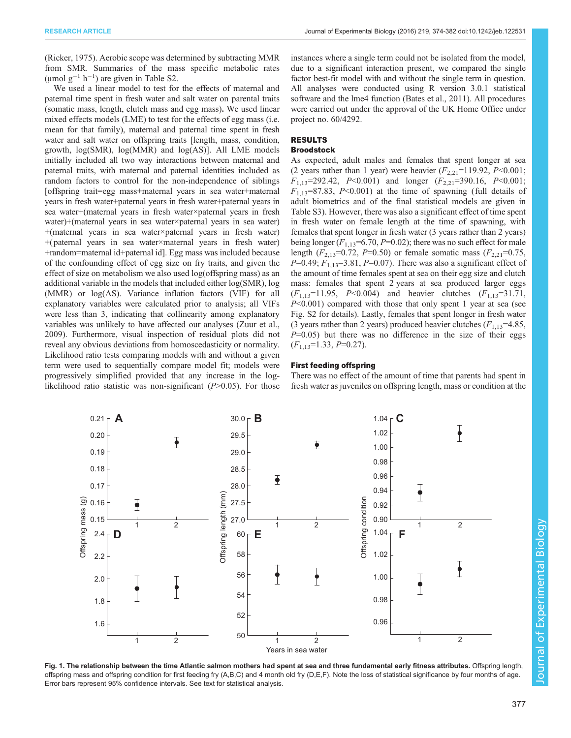<span id="page-3-0"></span>[\(Ricker, 1975](#page-7-0)). Aerobic scope was determined by subtracting MMR from SMR. Summaries of the mass specific metabolic rates  $(\mu \text{mol g}^{-1} \text{h}^{-1})$  are given in [Table S2](http://jeb.biologists.org/lookup/suppl/doi:10.1242/jeb.122531/-/DC1).

We used a linear model to test for the effects of maternal and paternal time spent in fresh water and salt water on parental traits (somatic mass, length, clutch mass and egg mass). We used linear mixed effects models (LME) to test for the effects of egg mass (i.e. mean for that family), maternal and paternal time spent in fresh water and salt water on offspring traits [length, mass, condition, growth, log(SMR), log(MMR) and log(AS)]. All LME models initially included all two way interactions between maternal and paternal traits, with maternal and paternal identities included as random factors to control for the non-independence of siblings [offspring trait=egg mass+maternal years in sea water+maternal years in fresh water+paternal years in fresh water+paternal years in sea water+(maternal years in fresh water×paternal years in fresh water)+(maternal years in sea water×paternal years in sea water) +(maternal years in sea water×paternal years in fresh water) +( paternal years in sea water×maternal years in fresh water) +random=maternal id+paternal id]. Egg mass was included because of the confounding effect of egg size on fry traits, and given the effect of size on metabolism we also used log(offspring mass) as an additional variable in the models that included either log(SMR), log (MMR) or log(AS). Variance inflation factors (VIF) for all explanatory variables were calculated prior to analysis; all VIFs were less than 3, indicating that collinearity among explanatory variables was unlikely to have affected our analyses ([Zuur et al.,](#page-8-0) [2009](#page-8-0)). Furthermore, visual inspection of residual plots did not reveal any obvious deviations from homoscedasticity or normality. Likelihood ratio tests comparing models with and without a given term were used to sequentially compare model fit; models were progressively simplified provided that any increase in the loglikelihood ratio statistic was non-significant  $(P>0.05)$ . For those instances where a single term could not be isolated from the model, due to a significant interaction present, we compared the single factor best-fit model with and without the single term in question. All analyses were conducted using R version 3.0.1 statistical software and the lme4 function [\(Bates et al., 2011\)](#page-7-0). All procedures were carried out under the approval of the UK Home Office under project no. 60/4292.

# RESULTS

## Broodstock

As expected, adult males and females that spent longer at sea (2 years rather than 1 year) were heavier  $(F_{2,21}=119.92, P<0.001;$  $F_{1,13}=292.42$ ,  $P<0.001$ ) and longer  $(F_{2,21}=390.16, P<0.001)$ ;  $F_{1,13}=87.83$ , P<0.001) at the time of spawning (full details of adult biometrics and of the final statistical models are given in [Table S3](http://jeb.biologists.org/lookup/suppl/doi:10.1242/jeb.122531/-/DC1)). However, there was also a significant effect of time spent in fresh water on female length at the time of spawning, with females that spent longer in fresh water (3 years rather than 2 years) being longer  $(F_{1,13}=6.70, P=0.02)$ ; there was no such effect for male length ( $F_{2,13}=0.72$ ,  $P=0.50$ ) or female somatic mass ( $F_{2,21}=0.75$ ,  $P=0.49; F_{1,13}=3.81, P=0.07$ . There was also a significant effect of the amount of time females spent at sea on their egg size and clutch mass: females that spent 2 years at sea produced larger eggs  $(F_{1,13}=11.95, P<0.004)$  and heavier clutches  $(F_{1,13}=31.71,$ P<0.001) compared with those that only spent 1 year at sea (see [Fig. S2](http://jeb.biologists.org/lookup/suppl/doi:10.1242/jeb.122531/-/DC1) for details). Lastly, females that spent longer in fresh water (3 years rather than 2 years) produced heavier clutches  $(F_{1,13}=4.85,$  $P=0.05$ ) but there was no difference in the size of their eggs  $(F_{1,13}=1.33, P=0.27).$ 

#### First feeding offspring

There was no effect of the amount of time that parents had spent in fresh water as juveniles on offspring length, mass or condition at the



Fig. 1. The relationship between the time Atlantic salmon mothers had spent at sea and three fundamental early fitness attributes. Offspring length, offspring mass and offspring condition for first feeding fry (A,B,C) and 4 month old fry (D,E,F). Note the loss of statistical significance by four months of age. Error bars represent 95% confidence intervals. See text for statistical analysis.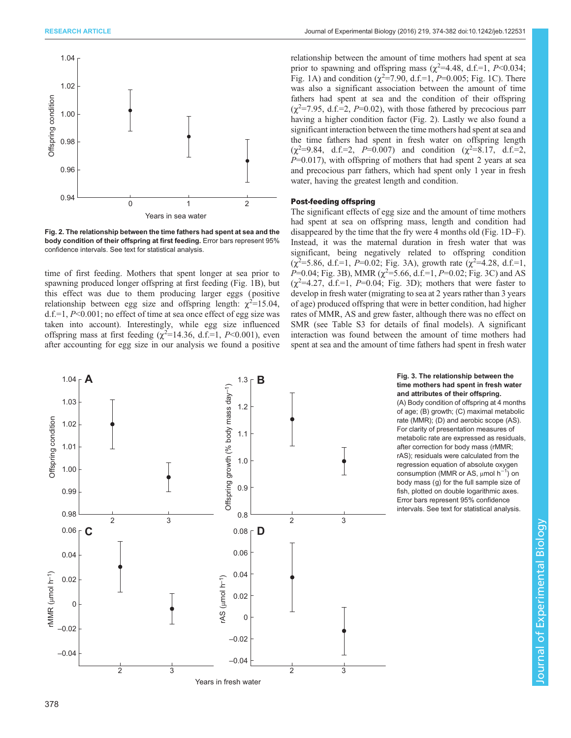<span id="page-4-0"></span>

Fig. 2. The relationship between the time fathers had spent at sea and the body condition of their offspring at first feeding. Error bars represent 95% confidence intervals. See text for statistical analysis.

time of first feeding. Mothers that spent longer at sea prior to spawning produced longer offspring at first feeding ([Fig. 1](#page-3-0)B), but this effect was due to them producing larger eggs ( positive relationship between egg size and offspring length:  $\chi^2 = 15.04$ , d.f.=1,  $P<0.001$ ; no effect of time at sea once effect of egg size was taken into account). Interestingly, while egg size influenced offspring mass at first feeding  $(\chi^2=14.36, d.f.=1, P<0.001)$ , even after accounting for egg size in our analysis we found a positive relationship between the amount of time mothers had spent at sea prior to spawning and offspring mass ( $\chi^2$ =4.48, d.f.=1, P<0.034; [Fig. 1](#page-3-0)A) and condition  $(\chi^2 = 7.90, d.f = 1, P = 0.005;$  [Fig. 1C](#page-3-0)). There was also a significant association between the amount of time fathers had spent at sea and the condition of their offspring  $(\chi^2 = 7.95, d.f.=2, P=0.02)$ , with those fathered by precocious parr having a higher condition factor (Fig. 2). Lastly we also found a significant interaction between the time mothers had spent at sea and the time fathers had spent in fresh water on offspring length  $(\chi^2=9.84, d.f.=2, P=0.007)$  and condition  $(\chi^2=8.17, d.f.=2,$  $P=0.017$ ), with offspring of mothers that had spent 2 years at sea and precocious parr fathers, which had spent only 1 year in fresh water, having the greatest length and condition.

## Post-feeding offspring

The significant effects of egg size and the amount of time mothers had spent at sea on offspring mass, length and condition had disappeared by the time that the fry were 4 months old ([Fig. 1D](#page-3-0)–F). Instead, it was the maternal duration in fresh water that was significant, being negatively related to offspring condition  $(\chi^2 = 5.86, d.f. = 1, P = 0.02; Fig. 3A)$ , growth rate  $(\chi^2 = 4.28, d.f. = 1,$  $P=0.04$ ; Fig. 3B), MMR ( $\chi^2=5.66$ , d.f.=1,  $P=0.02$ ; Fig. 3C) and AS  $(\chi^2=4.27, d.f.=1, P=0.04; Fig. 3D)$ ; mothers that were faster to develop in fresh water (migrating to sea at 2 years rather than 3 years of age) produced offspring that were in better condition, had higher rates of MMR, AS and grew faster, although there was no effect on SMR (see [Table S3](http://jeb.biologists.org/lookup/suppl/doi:10.1242/jeb.122531/-/DC1) for details of final models). A significant interaction was found between the amount of time mothers had spent at sea and the amount of time fathers had spent in fresh water



#### Fig. 3. The relationship between the time mothers had spent in fresh water and attributes of their offspring.

(A) Body condition of offspring at 4 months of age; (B) growth; (C) maximal metabolic rate (MMR); (D) and aerobic scope (AS). For clarity of presentation measures of metabolic rate are expressed as residuals, after correction for body mass (rMMR; rAS); residuals were calculated from the regression equation of absolute oxygen consumption (MMR or AS, μmol h<sup>-1</sup>) on body mass (g) for the full sample size of fish, plotted on double logarithmic axes. Error bars represent 95% confidence intervals. See text for statistical analysis.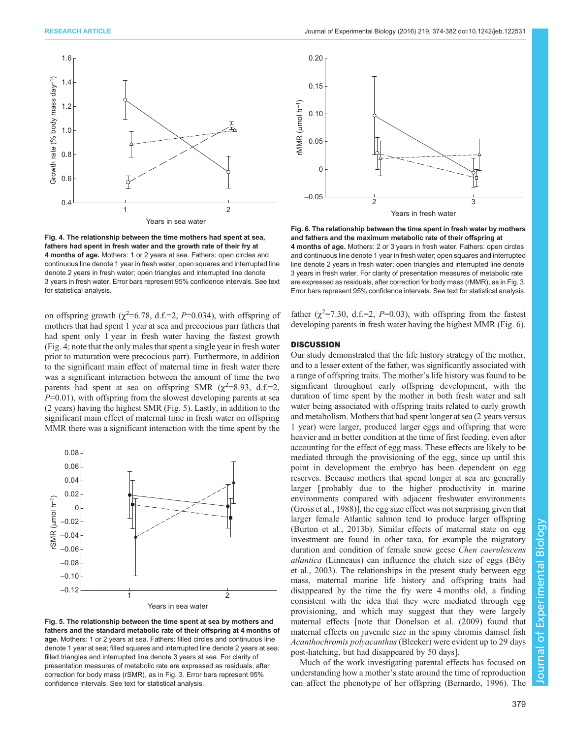

Fig. 4. The relationship between the time mothers had spent at sea, fathers had spent in fresh water and the growth rate of their fry at 4 months of age. Mothers: 1 or 2 years at sea. Fathers: open circles and continuous line denote 1 year in fresh water; open squares and interrupted line denote 2 years in fresh water; open triangles and interrupted line denote 3 years in fresh water. Error bars represent 95% confidence intervals. See text for statistical analysis.

on offspring growth  $(\chi^2=6.78, d.f.=2, P=0.034)$ , with offspring of mothers that had spent 1 year at sea and precocious parr fathers that had spent only 1 year in fresh water having the fastest growth (Fig. 4; note that the only males that spent a single year in fresh water prior to maturation were precocious parr). Furthermore, in addition to the significant main effect of maternal time in fresh water there was a significant interaction between the amount of time the two parents had spent at sea on offspring SMR  $(\chi^2=8.93, d.f.=2,$  $P=0.01$ ), with offspring from the slowest developing parents at sea (2 years) having the highest SMR (Fig. 5). Lastly, in addition to the significant main effect of maternal time in fresh water on offspring MMR there was a significant interaction with the time spent by the



Fig. 5. The relationship between the time spent at sea by mothers and fathers and the standard metabolic rate of their offspring at 4 months of age. Mothers: 1 or 2 years at sea. Fathers: filled circles and continuous line denote 1 year at sea; filled squares and interrupted line denote 2 years at sea; filled triangles and interrupted line denote 3 years at sea. For clarity of presentation measures of metabolic rate are expressed as residuals, after correction for body mass (rSMR), as in [Fig. 3.](#page-4-0) Error bars represent 95% confidence intervals. See text for statistical analysis.



Fig. 6. The relationship between the time spent in fresh water by mothers and fathers and the maximum metabolic rate of their offspring at 4 months of age. Mothers: 2 or 3 years in fresh water. Fathers: open circles and continuous line denote 1 year in fresh water; open squares and interrupted line denote 2 years in fresh water; open triangles and interrupted line denote 3 years in fresh water. For clarity of presentation measures of metabolic rate are expressed as residuals, after correction for body mass (rMMR), as in [Fig. 3.](#page-4-0) Error bars represent 95% confidence intervals. See text for statistical analysis.

father  $(\chi^2=7.30, d.f.=2, P=0.03)$ , with offspring from the fastest developing parents in fresh water having the highest MMR (Fig. 6).

## **DISCUSSION**

Our study demonstrated that the life history strategy of the mother, and to a lesser extent of the father, was significantly associated with a range of offspring traits. The mother's life history was found to be significant throughout early offspring development, with the duration of time spent by the mother in both fresh water and salt water being associated with offspring traits related to early growth and metabolism. Mothers that had spent longer at sea (2 years versus 1 year) were larger, produced larger eggs and offspring that were heavier and in better condition at the time of first feeding, even after accounting for the effect of egg mass. These effects are likely to be mediated through the provisioning of the egg, since up until this point in development the embryo has been dependent on egg reserves. Because mothers that spend longer at sea are generally larger [ probably due to the higher productivity in marine environments compared with adjacent freshwater environments [\(Gross et al., 1988\)](#page-7-0)], the egg size effect was not surprising given that larger female Atlantic salmon tend to produce larger offspring [\(Burton et al., 2013b](#page-7-0)). Similar effects of maternal state on egg investment are found in other taxa, for example the migratory duration and condition of female snow geese Chen caerulescens atlantica (Linneaus) can influence the clutch size of eggs [\(Bêty](#page-7-0) [et al., 2003](#page-7-0)). The relationships in the present study between egg mass, maternal marine life history and offspring traits had disappeared by the time the fry were 4 months old, a finding consistent with the idea that they were mediated through egg provisioning, and which may suggest that they were largely maternal effects [note that [Donelson et al. \(2009\)](#page-7-0) found that maternal effects on juvenile size in the spiny chromis damsel fish Acanthochromis polyacanthus (Bleeker) were evident up to 29 days post-hatching, but had disappeared by 50 days].

Much of the work investigating parental effects has focused on understanding how a mother's state around the time of reproduction can affect the phenotype of her offspring [\(Bernardo, 1996](#page-7-0)). The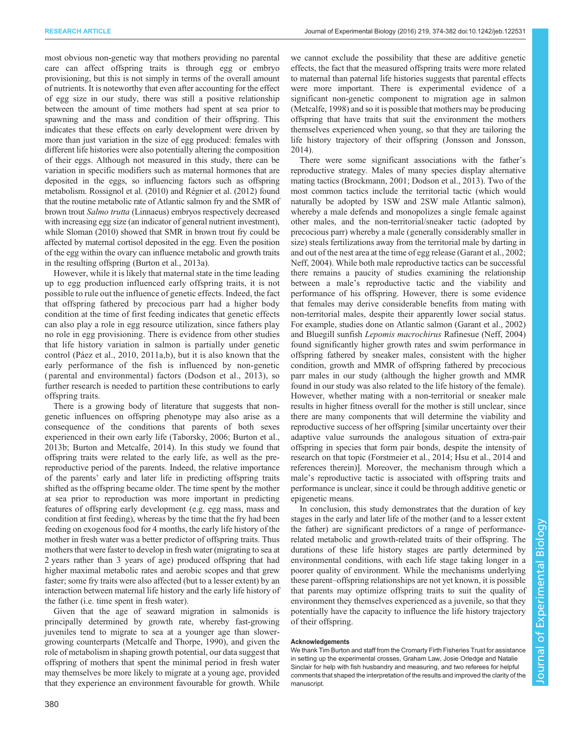most obvious non-genetic way that mothers providing no parental care can affect offspring traits is through egg or embryo provisioning, but this is not simply in terms of the overall amount of nutrients. It is noteworthy that even after accounting for the effect of egg size in our study, there was still a positive relationship between the amount of time mothers had spent at sea prior to spawning and the mass and condition of their offspring. This indicates that these effects on early development were driven by more than just variation in the size of egg produced: females with different life histories were also potentially altering the composition of their eggs. Although not measured in this study, there can be variation in specific modifiers such as maternal hormones that are deposited in the eggs, so influencing factors such as offspring metabolism. [Rossignol et al. \(2010\)](#page-7-0) and [Régnier et al. \(2012\)](#page-7-0) found that the routine metabolic rate of Atlantic salmon fry and the SMR of brown trout Salmo trutta (Linnaeus) embryos respectively decreased with increasing egg size (an indicator of general nutrient investment), while [Sloman \(2010\)](#page-8-0) showed that SMR in brown trout fry could be affected by maternal cortisol deposited in the egg. Even the position of the egg within the ovary can influence metabolic and growth traits in the resulting offspring [\(Burton et al., 2013a\)](#page-7-0).

However, while it is likely that maternal state in the time leading up to egg production influenced early offspring traits, it is not possible to rule out the influence of genetic effects. Indeed, the fact that offspring fathered by precocious parr had a higher body condition at the time of first feeding indicates that genetic effects can also play a role in egg resource utilization, since fathers play no role in egg provisioning. There is evidence from other studies that life history variation in salmon is partially under genetic control [\(Páez et al., 2010](#page-7-0), [2011a](#page-7-0),[b\)](#page-7-0), but it is also known that the early performance of the fish is influenced by non-genetic ( parental and environmental) factors [\(Dodson et al., 2013\)](#page-7-0), so further research is needed to partition these contributions to early offspring traits.

There is a growing body of literature that suggests that nongenetic influences on offspring phenotype may also arise as a consequence of the conditions that parents of both sexes experienced in their own early life ([Taborsky, 2006](#page-8-0); [Burton et al.,](#page-7-0) [2013b; Burton and Metcalfe, 2014\)](#page-7-0). In this study we found that offspring traits were related to the early life, as well as the prereproductive period of the parents. Indeed, the relative importance of the parents' early and later life in predicting offspring traits shifted as the offspring became older. The time spent by the mother at sea prior to reproduction was more important in predicting features of offspring early development (e.g. egg mass, mass and condition at first feeding), whereas by the time that the fry had been feeding on exogenous food for 4 months, the early life history of the mother in fresh water was a better predictor of offspring traits. Thus mothers that were faster to develop in fresh water (migrating to sea at 2 years rather than 3 years of age) produced offspring that had higher maximal metabolic rates and aerobic scopes and that grew faster; some fry traits were also affected (but to a lesser extent) by an interaction between maternal life history and the early life history of the father (i.e. time spent in fresh water).

Given that the age of seaward migration in salmonids is principally determined by growth rate, whereby fast-growing juveniles tend to migrate to sea at a younger age than slowergrowing counterparts ([Metcalfe and Thorpe, 1990](#page-7-0)), and given the role of metabolism in shaping growth potential, our data suggest that offspring of mothers that spent the minimal period in fresh water may themselves be more likely to migrate at a young age, provided that they experience an environment favourable for growth. While we cannot exclude the possibility that these are additive genetic effects, the fact that the measured offspring traits were more related to maternal than paternal life histories suggests that parental effects were more important. There is experimental evidence of a significant non-genetic component to migration age in salmon [\(Metcalfe, 1998\)](#page-7-0) and so it is possible that mothers may be producing offspring that have traits that suit the environment the mothers themselves experienced when young, so that they are tailoring the life history trajectory of their offspring ([Jonsson and Jonsson,](#page-7-0) [2014\)](#page-7-0).

There were some significant associations with the father's reproductive strategy. Males of many species display alternative mating tactics [\(Brockmann, 2001; Dodson et al., 2013](#page-7-0)). Two of the most common tactics include the territorial tactic (which would naturally be adopted by 1SW and 2SW male Atlantic salmon), whereby a male defends and monopolizes a single female against other males, and the non-territorial/sneaker tactic (adopted by precocious parr) whereby a male (generally considerably smaller in size) steals fertilizations away from the territorial male by darting in and out of the nest area at the time of egg release ([Garant et al., 2002](#page-7-0); [Neff, 2004\)](#page-7-0). While both male reproductive tactics can be successful there remains a paucity of studies examining the relationship between a male's reproductive tactic and the viability and performance of his offspring. However, there is some evidence that females may derive considerable benefits from mating with non-territorial males, despite their apparently lower social status. For example, studies done on Atlantic salmon ([Garant et al., 2002\)](#page-7-0) and Bluegill sunfish Lepomis macrochirus Rafinesue ([Neff, 2004\)](#page-7-0) found significantly higher growth rates and swim performance in offspring fathered by sneaker males, consistent with the higher condition, growth and MMR of offspring fathered by precocious parr males in our study (although the higher growth and MMR found in our study was also related to the life history of the female). However, whether mating with a non-territorial or sneaker male results in higher fitness overall for the mother is still unclear, since there are many components that will determine the viability and reproductive success of her offspring [similar uncertainty over their adaptive value surrounds the analogous situation of extra-pair offspring in species that form pair bonds, despite the intensity of research on that topic [\(Forstmeier et al., 2014; Hsu et al., 2014](#page-7-0) and references therein)]. Moreover, the mechanism through which a male's reproductive tactic is associated with offspring traits and performance is unclear, since it could be through additive genetic or epigenetic means.

In conclusion, this study demonstrates that the duration of key stages in the early and later life of the mother (and to a lesser extent the father) are significant predictors of a range of performancerelated metabolic and growth-related traits of their offspring. The durations of these life history stages are partly determined by environmental conditions, with each life stage taking longer in a poorer quality of environment. While the mechanisms underlying these parent–offspring relationships are not yet known, it is possible that parents may optimize offspring traits to suit the quality of environment they themselves experienced as a juvenile, so that they potentially have the capacity to influence the life history trajectory of their offspring.

#### Acknowledgements

We thank Tim Burton and staff from the Cromarty Firth Fisheries Trust for assistance in setting up the experimental crosses, Graham Law, Josie Orledge and Natalie Sinclair for help with fish husbandry and measuring, and two referees for helpful comments that shaped the interpretation of the results and improved the clarity of the manuscript.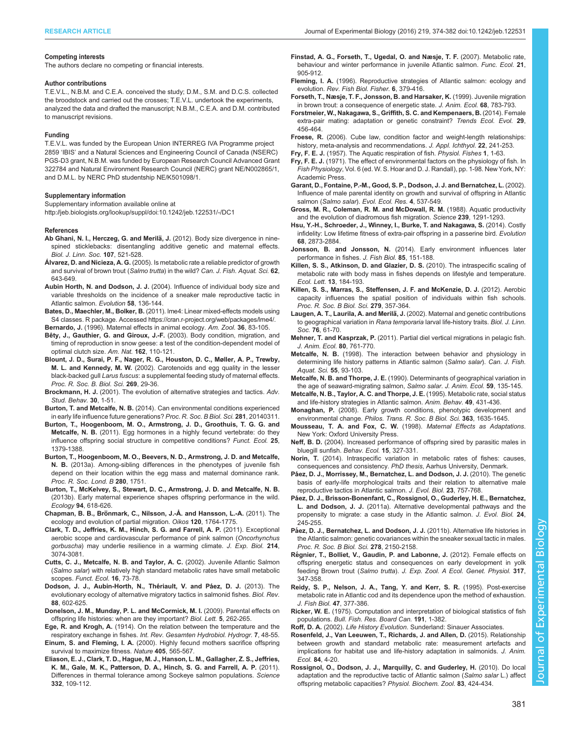#### <span id="page-7-0"></span>Competing interests

The authors declare no competing or financial interests.

#### Author contributions

T.E.V.L., N.B.M. and C.E.A. conceived the study; D.M., S.M. and D.C.S. collected the broodstock and carried out the crosses; T.E.V.L. undertook the experiments, analyzed the data and drafted the manuscript; N.B.M., C.E.A. and D.M. contributed to manuscript revisions.

#### Funding

T.E.V.L. was funded by the European Union INTERREG IVA Programme project 2859 'IBIS' and a Natural Sciences and Engineering Council of Canada (NSERC) PGS-D3 grant, N.B.M. was funded by European Research Council Advanced Grant 322784 and Natural Environment Research Council (NERC) grant NE/N002865/1, and D.M.L. by NERC PhD studentship NE/K501098/1.

#### Supplementary information

Supplementary information available online at <http://jeb.biologists.org/lookup/suppl/doi:10.1242/jeb.122531/-/DC1>

#### References

- Ab Ghani, N. I., Herczeg, G. and Merilä, J. (2012). Body size divergence in nine[spined sticklebacks: disentangling additive genetic and maternal effects.](http://dx.doi.org/10.1111/j.1095-8312.2012.01956.x) [Biol. J. Linn. Soc.](http://dx.doi.org/10.1111/j.1095-8312.2012.01956.x) 107, 521-528.
- Álvarez, D. and Nicieza, A. G. [\(2005\). Is metabolic rate a reliable predictor of growth](http://dx.doi.org/10.1139/f04-223) [and survival of brown trout \(](http://dx.doi.org/10.1139/f04-223)Salmo trutta) in the wild? Can. J. Fish. Aquat. Sci. 62, [643-649.](http://dx.doi.org/10.1139/f04-223)
- Aubin Horth, N. and Dodson, J. J. [\(2004\). Influence of individual body size and](http://dx.doi.org/10.1111/j.0014-3820.2004.tb01580.x) [variable thresholds on the incidence of a sneaker male reproductive tactic in](http://dx.doi.org/10.1111/j.0014-3820.2004.tb01580.x) [Atlantic salmon.](http://dx.doi.org/10.1111/j.0014-3820.2004.tb01580.x) Evolution 58, 136-144.
- Bates, D., Maechler, M., Bolker, B. (2011). lme4: Linear mixed-effects models using S4 classes. R package. Accessed<https://cran.r-project.org/web/packages/lme4/>. Bernardo, J. [\(1996\). Maternal effects in animal ecology.](http://dx.doi.org/10.1093/icb/36.2.83) Am. Zool. 36, 83-105.
- [Bêty, J., Gauthier, G. and Giroux, J.-F.](http://dx.doi.org/10.1086/375680) (2003). Body condition, migration, and [timing of reproduction in snow geese: a test of the condition-dependent model of](http://dx.doi.org/10.1086/375680) [optimal clutch size.](http://dx.doi.org/10.1086/375680) Am. Nat. 162, 110-121.
- [Blount, J. D., Surai, P. F., Nager, R. G., Houston, D. C., Møller, A. P., Trewby,](http://dx.doi.org/10.1098/rspb.2001.1840) M. L. and Kennedy, M. W. [\(2002\). Carotenoids and egg quality in the lesser](http://dx.doi.org/10.1098/rspb.2001.1840) black-backed gull Larus fuscus[: a supplemental feeding study of maternal effects.](http://dx.doi.org/10.1098/rspb.2001.1840) [Proc. R. Soc. B. Biol. Sci.](http://dx.doi.org/10.1098/rspb.2001.1840) 269, 29-36.
- Brockmann, H. J. [\(2001\). The evolution of alternative strategies and tactics.](http://dx.doi.org/10.1016/S0065-3454(01)80004-8) Adv. [Stud. Behav.](http://dx.doi.org/10.1016/S0065-3454(01)80004-8) 30, 1-51.
- Burton, T. and Metcalfe, N. B. [\(2014\). Can environmental conditions experienced](http://dx.doi.org/10.1098/rspb.2014.0311) [in early life influence future generations?](http://dx.doi.org/10.1098/rspb.2014.0311) Proc. R. Soc. B Biol. Sci. 281, 20140311.
- [Burton, T., Hoogenboom, M. O., Armstrong, J. D., Groothuis, T. G. G. and](http://dx.doi.org/10.1111/j.1365-2435.2011.01897.x) Metcalfe, N. B. [\(2011\). Egg hormones in a highly fecund vertebrate: do they](http://dx.doi.org/10.1111/j.1365-2435.2011.01897.x) [influence offspring social structure in competitive conditions?](http://dx.doi.org/10.1111/j.1365-2435.2011.01897.x) Funct. Ecol. 25, [1379-1388.](http://dx.doi.org/10.1111/j.1365-2435.2011.01897.x)
- Burton, T., Hoogenboom, M. O., Beevers, N. D., Armstrong, J. D. and Metcalfe, N. B. (2013a). Among-sibling differences in the phenotypes of juvenile fish depend on their location within the egg mass and maternal dominance rank. Proc. R. Soc. Lond. B 280, 1751.
- [Burton, T., McKelvey, S., Stewart, D. C., Armstrong, J. D. and Metcalfe, N. B.](http://dx.doi.org/10.1890/12-0462.1) [\(2013b\). Early maternal experience shapes offspring performance in the wild.](http://dx.doi.org/10.1890/12-0462.1) Ecology 94[, 618-626.](http://dx.doi.org/10.1890/12-0462.1)
- Chapman, B. B., Brö[nmark, C., Nilsson, J.-Å. and Hansson, L.-A.](http://dx.doi.org/10.1111/j.1600-0706.2011.20131.x) (2011). The [ecology and evolution of partial migration.](http://dx.doi.org/10.1111/j.1600-0706.2011.20131.x) Oikos 120, 1764-1775.
- [Clark, T. D., Jeffries, K. M., Hinch, S. G. and Farrell, A. P.](http://dx.doi.org/10.1242/jeb.060517) (2011). Exceptional [aerobic scope and cardiovascular performance of pink salmon \(](http://dx.doi.org/10.1242/jeb.060517)Oncorhynchus gorbuscha[\) may underlie resilience in a warming climate.](http://dx.doi.org/10.1242/jeb.060517) J. Exp. Biol. 214, [3074-3081.](http://dx.doi.org/10.1242/jeb.060517)
- [Cutts, C. J., Metcalfe, N. B. and Taylor, A. C.](http://dx.doi.org/10.1046/j.0269-8463.2001.00603.x) (2002). Juvenile Atlantic Salmon (Salmo salar[\) with relatively high standard metabolic rates have small metabolic](http://dx.doi.org/10.1046/j.0269-8463.2001.00603.x) scopes. [Funct. Ecol.](http://dx.doi.org/10.1046/j.0269-8463.2001.00603.x) 16, 73-78.
- Dodson, J. J., Aubin-Horth, N., Thériault, V. and Páez, D. J. (2013). The [evolutionary ecology of alternative migratory tactics in salmonid fishes.](http://dx.doi.org/10.1111/brv.12019) Biol. Rev. 88[, 602-625.](http://dx.doi.org/10.1111/brv.12019)
- [Donelson, J. M., Munday, P. L. and McCormick, M. I.](http://dx.doi.org/10.1098/rsbl.2008.0642) (2009). Parental effects on [offspring life histories: when are they important?](http://dx.doi.org/10.1098/rsbl.2008.0642) Biol. Lett. 5, 262-265.
- Ege, R. and Krogh, A. [\(1914\). On the relation between the temperature and the](http://dx.doi.org/10.1002/iroh.19140070105) respiratory exchange in fishes. [Int. Rev. Gesamten Hydrobiol. Hydrogr.](http://dx.doi.org/10.1002/iroh.19140070105) 7, 48-55.
- Einum, S. and Fleming, I. A. [\(2000\). Highly fecund mothers sacrifice offspring](http://dx.doi.org/10.1038/35014600) [survival to maximize fitness.](http://dx.doi.org/10.1038/35014600) Nature 405, 565-567.
- [Eliason, E. J., Clark, T. D., Hague, M. J., Hanson, L. M., Gallagher, Z. S., Jeffries,](http://dx.doi.org/10.1126/science.1199158) [K. M., Gale, M. K., Patterson, D. A., Hinch, S. G. and Farrell, A. P.](http://dx.doi.org/10.1126/science.1199158) (2011). [Differences in thermal tolerance among Sockeye salmon populations.](http://dx.doi.org/10.1126/science.1199158) Science 332[, 109-112.](http://dx.doi.org/10.1126/science.1199158)
- [Finstad, A. G., Forseth, T., Ugedal, O. and Næsje, T. F.](http://dx.doi.org/10.1111/j.1365-2435.2007.01291.x) (2007). Metabolic rate, [behaviour and winter performance in juvenile Atlantic salmon.](http://dx.doi.org/10.1111/j.1365-2435.2007.01291.x) Func. Ecol. 21, [905-912.](http://dx.doi.org/10.1111/j.1365-2435.2007.01291.x)
- Fleming, I. A. [\(1996\). Reproductive strategies of Atlantic salmon: ecology and](http://dx.doi.org/10.1007/BF00164323) evolution. [Rev. Fish Biol. Fisher.](http://dx.doi.org/10.1007/BF00164323) 6, 379-416.
- [Forseth, T., Næsje, T. F., Jonsson, B. and Harsaker, K.](http://dx.doi.org/10.1046/j.1365-2656.1999.00329.x) (1999). Juvenile migration [in brown trout: a consequence of energetic state.](http://dx.doi.org/10.1046/j.1365-2656.1999.00329.x) J. Anim. Ecol. 68, 783-793.
- [Forstmeier, W., Nakagawa, S., Griffith, S. C. and Kempenaers, B.](http://dx.doi.org/10.1016/j.tree.2014.05.005) (2014). Female [extra-pair mating: adaptation or genetic constraint?](http://dx.doi.org/10.1016/j.tree.2014.05.005) Trends Ecol. Evol. 29, [456-464.](http://dx.doi.org/10.1016/j.tree.2014.05.005)
- Froese, R. [\(2006\). Cube law, condition factor and weight-length relationships:](http://dx.doi.org/10.1111/j.1439-0426.2006.00805.x) [history, meta-analysis and recommendations.](http://dx.doi.org/10.1111/j.1439-0426.2006.00805.x) J. Appl. Ichthyol. 22, 241-253.
- Fry, F. E. J. [\(1957\). The Aquatic respiration of fish.](http://dx.doi.org/10.1016/B978-1-4832-2817-4.50006-8) Physiol. Fishes 1, 1-63.
- Fry, F. E. J. (1971). The effect of environmental factors on the physiology of fish. In Fish Physiology, Vol. 6 (ed. W. S. Hoar and D. J. Randall), pp. 1-98. New York, NY: Academic Press.
- Garant, D., Fontaine, P.-M., Good, S. P., Dodson, J. J. and Bernatchez, L. (2002). Influence of male parental identity on growth and survival of offspring in Atlantic salmon (Salmo salar). Evol. Ecol. Res. 4, 537-549.
- [Gross, M. R., Coleman, R. M. and McDowall, R. M.](http://dx.doi.org/10.1126/science.239.4845.1291) (1988). Aquatic productivity [and the evolution of diadromous fish migration.](http://dx.doi.org/10.1126/science.239.4845.1291) Science 239, 1291-1293.
- [Hsu, Y.-H., Schroeder, J., Winney, I., Burke, T. and Nakagawa, S.](http://dx.doi.org/10.1111/evo.12475) (2014). Costly [infidelity: Low lifetime fitness of extra-pair offspring in a passerine bird.](http://dx.doi.org/10.1111/evo.12475) Evolution 68[, 2873-2884.](http://dx.doi.org/10.1111/evo.12475)
- Jonsson, B. and Jonsson, N. [\(2014\). Early environment influences later](http://dx.doi.org/10.1111/jfb.12432) [performance in fishes.](http://dx.doi.org/10.1111/jfb.12432) J. Fish Biol. 85, 151-188.
- [Killen, S. S., Atkinson, D. and Glazier, D. S.](http://dx.doi.org/10.1111/j.1461-0248.2009.01415.x) (2010). The intraspecific scaling of [metabolic rate with body mass in fishes depends on lifestyle and temperature.](http://dx.doi.org/10.1111/j.1461-0248.2009.01415.x) Ecol. Lett. 13[, 184-193.](http://dx.doi.org/10.1111/j.1461-0248.2009.01415.x)
- [Killen, S. S., Marras, S., Steffensen, J. F. and McKenzie, D. J.](http://dx.doi.org/10.1098/rspb.2011.1006) (2012). Aerobic [capacity influences the spatial position of individuals within fish schools.](http://dx.doi.org/10.1098/rspb.2011.1006) [Proc. R. Soc. B Biol. Sci.](http://dx.doi.org/10.1098/rspb.2011.1006) 279, 357-364.
- Laugen, A. T., Laurila, A. and Merilä, J. [\(2002\). Maternal and genetic contributions](http://dx.doi.org/10.1111/j.1095-8312.2002.tb01714.x) [to geographical variation in](http://dx.doi.org/10.1111/j.1095-8312.2002.tb01714.x) Rana temporaria larval life-history traits. Biol. J. Linn. Soc. 76[, 61-70.](http://dx.doi.org/10.1111/j.1095-8312.2002.tb01714.x)
- Mehner, T. and Kasprzak, P. [\(2011\). Partial diel vertical migrations in pelagic fish.](http://dx.doi.org/10.1111/j.1365-2656.2011.01823.x) [J. Anim. Ecol.](http://dx.doi.org/10.1111/j.1365-2656.2011.01823.x) 80, 761-770.
- Metcalfe, N. B. [\(1998\). The interaction between behavior and physiology in](http://dx.doi.org/10.1139/d98-005) [determining life history patterns in Atlantic salmon \(](http://dx.doi.org/10.1139/d98-005)Salmo salar). Can. J. Fish. [Aquat. Sci.](http://dx.doi.org/10.1139/d98-005) 55, 93-103.
- Metcalfe, N. B. and Thorpe, J. E. [\(1990\). Determinants of geographical variation in](http://dx.doi.org/10.2307/5163) [the age of seaward-migrating salmon,](http://dx.doi.org/10.2307/5163) Salmo salar. J. Anim. Ecol. 59, 135-145.
- [Metcalfe, N. B., Taylor, A. C. and Thorpe, J. E.](http://dx.doi.org/10.1006/anbe.1995.0056) (1995). Metabolic rate, social status [and life-history strategies in Atlantic salmon.](http://dx.doi.org/10.1006/anbe.1995.0056) Anim. Behav. 49, 431-436.
- Monaghan, P. [\(2008\). Early growth conditions, phenotypic development and](http://dx.doi.org/10.1098/rstb.2007.0011) environmental change. [Philos. Trans. R. Soc. B Biol. Sci.](http://dx.doi.org/10.1098/rstb.2007.0011) 363, 1635-1645.
- Mousseau, T. A. and Fox, C. W. (1998). Maternal Effects as Adaptations. New York: Oxford University Press.
- Neff, B. D. [\(2004\). Increased performance of offspring sired by parasitic males in](http://dx.doi.org/10.1093/beheco/arh016) [bluegill sunfish.](http://dx.doi.org/10.1093/beheco/arh016) Behav. Ecol. 15, 327-331.
- Norin, T. (2014). Intraspecific variation in metabolic rates of fishes: causes, consequences and consistency. PhD thesis, Aarhus University, Denmark.
- Pá[ez, D. J., Morrissey, M., Bernatchez, L. and Dodson, J. J.](http://dx.doi.org/10.1111/j.1420-9101.2010.01941.x) (2010). The genetic [basis of early-life morphological traits and their relation to alternative male](http://dx.doi.org/10.1111/j.1420-9101.2010.01941.x) [reproductive tactics in Atlantic salmon.](http://dx.doi.org/10.1111/j.1420-9101.2010.01941.x) J. Evol. Biol. 23, 757-768.
- Pá[ez, D. J., Brisson-Bonenfant, C., Rossignol, O., Guderley, H. E., Bernatchez,](http://dx.doi.org/10.1111/j.1420-9101.2010.02159.x) L. and Dodson, J. J. [\(2011a\). Alternative developmental pathways and the](http://dx.doi.org/10.1111/j.1420-9101.2010.02159.x) [propensity to migrate: a case study in the Atlantic salmon.](http://dx.doi.org/10.1111/j.1420-9101.2010.02159.x) J. Evol. Biol. 24, [245-255.](http://dx.doi.org/10.1111/j.1420-9101.2010.02159.x)
- Pá[ez, D. J., Bernatchez, L. and Dodson, J. J.](http://dx.doi.org/10.1098/rspb.2010.2045) (2011b). Alternative life histories in [the Atlantic salmon: genetic covariances within the sneaker sexual tactic in males.](http://dx.doi.org/10.1098/rspb.2010.2045) [Proc. R. Soc. B Biol. Sci.](http://dx.doi.org/10.1098/rspb.2010.2045) 278, 2150-2158.
- Ré[gnier, T., Bolliet, V., Gaudin, P. and Labonne, J.](http://dx.doi.org/10.1002/jez.1728) (2012). Female effects on [offspring energetic status and consequences on early development in yolk](http://dx.doi.org/10.1002/jez.1728) feeding Brown trout (Salmo trutta). [J. Exp. Zool. A Ecol. Genet. Physiol.](http://dx.doi.org/10.1002/jez.1728) 317, [347-358.](http://dx.doi.org/10.1002/jez.1728)
- [Reidy, S. P., Nelson, J. A., Tang, Y. and Kerr, S. R.](http://dx.doi.org/10.1111/j.1095-8649.1995.tb01907.x) (1995). Post-exercise [metabolic rate in Atlantic cod and its dependence upon the method of exhaustion.](http://dx.doi.org/10.1111/j.1095-8649.1995.tb01907.x) [J. Fish Biol.](http://dx.doi.org/10.1111/j.1095-8649.1995.tb01907.x) 47, 377-386.
- Ricker, W. E. (1975). Computation and interpretation of biological statistics of fish populations. Bull. Fish. Res. Board Can. 191, 1-382.
- Roff, D. A. (2002). Life History Evolution. Sunderland: Sinauer Associates.
- [Rosenfeld, J., Van Leeuwen, T., Richards, J. and Allen, D.](http://dx.doi.org/10.1111/1365-2656.12260) (2015). Relationship [between growth and standard metabolic rate: measurement artefacts and](http://dx.doi.org/10.1111/1365-2656.12260) [implications for habitat use and life-history adaptation in salmonids.](http://dx.doi.org/10.1111/1365-2656.12260) J. Anim. Ecol. 84[, 4-20.](http://dx.doi.org/10.1111/1365-2656.12260)
- [Rossignol, O., Dodson, J. J., Marquilly, C. and Guderley, H.](http://dx.doi.org/10.1086/649561) (2010). Do local [adaptation and the reproductive tactic of Atlantic salmon \(](http://dx.doi.org/10.1086/649561)Salmo salar L.) affect [offspring metabolic capacities?](http://dx.doi.org/10.1086/649561) Physiol. Biochem. Zool. 83, 424-434.